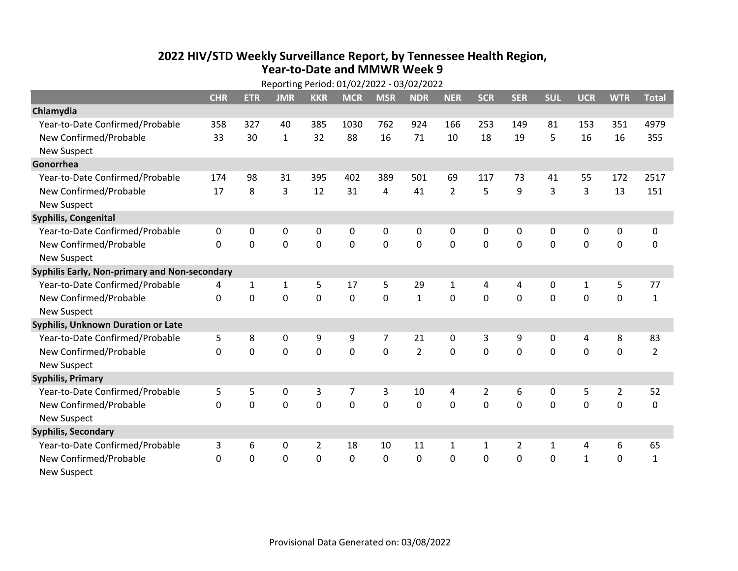## **2022 HIV /STD Weekly Surveillance Report, by Tennessee Health Region, Year‐to‐Date and MMWR Week 9**

|                                               | Reporting Period: 01/02/2022 - 03/02/2022 |             |                |                |             |                |                |                |                |              |              |              |                |                |
|-----------------------------------------------|-------------------------------------------|-------------|----------------|----------------|-------------|----------------|----------------|----------------|----------------|--------------|--------------|--------------|----------------|----------------|
|                                               | <b>CHR</b>                                | <b>ETR</b>  | <b>JMR</b>     | <b>KKR</b>     | <b>MCR</b>  | <b>MSR</b>     | <b>NDR</b>     | <b>NER</b>     | <b>SCR</b>     | <b>SER</b>   | <b>SUL</b>   | <b>UCR</b>   | <b>WTR</b>     | <b>Total</b>   |
| Chlamydia                                     |                                           |             |                |                |             |                |                |                |                |              |              |              |                |                |
| Year-to-Date Confirmed/Probable               | 358                                       | 327         | 40             | 385            | 1030        | 762            | 924            | 166            | 253            | 149          | 81           | 153          | 351            | 4979           |
| New Confirmed/Probable                        | 33                                        | 30          | $\mathbf{1}$   | 32             | 88          | 16             | 71             | 10             | 18             | 19           | 5            | 16           | 16             | 355            |
| <b>New Suspect</b>                            |                                           |             |                |                |             |                |                |                |                |              |              |              |                |                |
| Gonorrhea                                     |                                           |             |                |                |             |                |                |                |                |              |              |              |                |                |
| Year-to-Date Confirmed/Probable               | 174                                       | 98          | 31             | 395            | 402         | 389            | 501            | 69             | 117            | 73           | 41           | 55           | 172            | 2517           |
| New Confirmed/Probable                        | 17                                        | 8           | 3              | 12             | 31          | $\overline{4}$ | 41             | $\overline{2}$ | 5              | 9            | 3            | 3            | 13             | 151            |
| <b>New Suspect</b>                            |                                           |             |                |                |             |                |                |                |                |              |              |              |                |                |
| Syphilis, Congenital                          |                                           |             |                |                |             |                |                |                |                |              |              |              |                |                |
| Year-to-Date Confirmed/Probable               | $\mathbf{0}$                              | $\Omega$    | 0              | $\Omega$       | 0           | 0              | 0              | $\mathbf{0}$   | 0              | $\mathbf{0}$ | $\mathbf{0}$ | $\mathbf{0}$ | 0              | 0              |
| New Confirmed/Probable                        | $\Omega$                                  | $\mathbf 0$ | 0              | 0              | 0           | 0              | 0              | $\Omega$       | $\Omega$       | $\mathbf 0$  | 0            | 0            | $\mathbf 0$    | 0              |
| <b>New Suspect</b>                            |                                           |             |                |                |             |                |                |                |                |              |              |              |                |                |
| Syphilis Early, Non-primary and Non-secondary |                                           |             |                |                |             |                |                |                |                |              |              |              |                |                |
| Year-to-Date Confirmed/Probable               | 4                                         | 1           | 1              | 5              | 17          | 5              | 29             | 1              | 4              | 4            | 0            | 1            | 5              | 77             |
| New Confirmed/Probable                        | $\Omega$                                  | $\mathbf 0$ | 0              | 0              | 0           | $\mathbf 0$    | $\mathbf{1}$   | $\Omega$       | $\Omega$       | $\mathbf{0}$ | $\mathbf 0$  | $\mathbf 0$  | $\mathbf 0$    | $\mathbf{1}$   |
| <b>New Suspect</b>                            |                                           |             |                |                |             |                |                |                |                |              |              |              |                |                |
| Syphilis, Unknown Duration or Late            |                                           |             |                |                |             |                |                |                |                |              |              |              |                |                |
| Year-to-Date Confirmed/Probable               | 5                                         | 8           | 0              | 9              | 9           | $\overline{7}$ | 21             | $\mathbf{0}$   | 3              | 9            | $\mathbf{0}$ | 4            | 8              | 83             |
| New Confirmed/Probable                        | $\Omega$                                  | $\mathbf 0$ | $\overline{0}$ | $\mathbf 0$    | $\mathbf 0$ | $\mathbf 0$    | $\overline{2}$ | $\Omega$       | $\Omega$       | $\mathbf{0}$ | $\Omega$     | $\mathbf 0$  | $\mathbf 0$    | $\overline{2}$ |
| <b>New Suspect</b>                            |                                           |             |                |                |             |                |                |                |                |              |              |              |                |                |
| <b>Syphilis, Primary</b>                      |                                           |             |                |                |             |                |                |                |                |              |              |              |                |                |
| Year-to-Date Confirmed/Probable               | 5                                         | 5           | 0              | 3              | 7           | 3              | 10             | 4              | $\overline{2}$ | 6            | 0            | 5            | $\overline{2}$ | 52             |
| New Confirmed/Probable                        | 0                                         | $\mathbf 0$ | 0              | $\mathbf 0$    | 0           | $\mathbf 0$    | $\mathbf 0$    | $\Omega$       | $\Omega$       | $\mathbf 0$  | 0            | $\mathbf 0$  | $\mathbf 0$    | 0              |
| <b>New Suspect</b>                            |                                           |             |                |                |             |                |                |                |                |              |              |              |                |                |
| <b>Syphilis, Secondary</b>                    |                                           |             |                |                |             |                |                |                |                |              |              |              |                |                |
| Year-to-Date Confirmed/Probable               | 3                                         | 6           | 0              | $\overline{2}$ | 18          | 10             | 11             | 1              | $\mathbf{1}$   | 2            | 1            | 4            | 6              | 65             |
| New Confirmed/Probable                        | 0                                         | 0           | $\mathbf 0$    | 0              | 0           | 0              | 0              | 0              | 0              | $\mathbf 0$  | 0            | $\mathbf{1}$ | $\mathbf 0$    | $\mathbf{1}$   |
| New Suspect                                   |                                           |             |                |                |             |                |                |                |                |              |              |              |                |                |